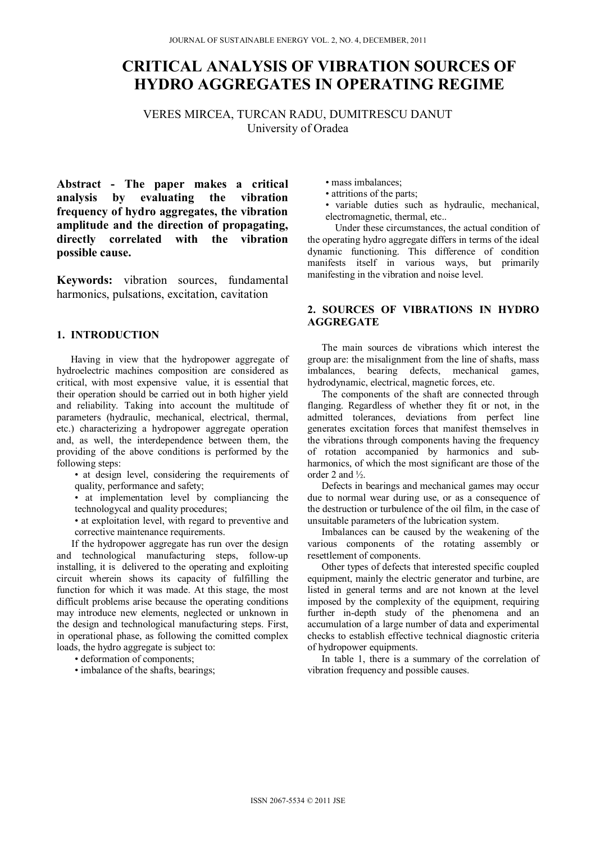# **CRITICAL ANALYSIS OF VIBRATION SOURCES OF HYDRO AGGREGATES IN OPERATING REGIME**

VERES MIRCEA, TURCAN RADU, DUMITRESCU DANUT University of Oradea

**Abstract - The paper makes a critical analysis by evaluating the vibration frequency of hydro aggregates, the vibration amplitude and the direction of propagating, directly correlated with the vibration possible cause.** 

**Keywords:** vibration sources, fundamental harmonics, pulsations, excitation, cavitation

## **1. INTRODUCTION**

Having in view that the hydropower aggregate of hydroelectric machines composition are considered as critical, with most expensive value, it is essential that their operation should be carried out in both higher yield and reliability. Taking into account the multitude of parameters (hydraulic, mechanical, electrical, thermal, etc.) characterizing a hydropower aggregate operation and, as well, the interdependence between them, the providing of the above conditions is performed by the following steps:

• at design level, considering the requirements of quality, performance and safety;

• at implementation level by compliancing the technologycal and quality procedures;

• at exploitation level, with regard to preventive and corrective maintenance requirements.

 If the hydropower aggregate has run over the design and technological manufacturing steps, follow-up installing, it is delivered to the operating and exploiting circuit wherein shows its capacity of fulfilling the function for which it was made. At this stage, the most difficult problems arise because the operating conditions may introduce new elements, neglected or unknown in the design and technological manufacturing steps. First, in operational phase, as following the comitted complex loads, the hydro aggregate is subject to:

• deformation of components;

• imbalance of the shafts, bearings;

• mass imbalances;

• attritions of the parts;

• variable duties such as hydraulic, mechanical, electromagnetic, thermal, etc..

 Under these circumstances, the actual condition of the operating hydro aggregate differs in terms of the ideal dynamic functioning. This difference of condition manifests itself in various ways, but primarily manifesting in the vibration and noise level.

## **2. SOURCES OF VIBRATIONS IN HYDRO AGGREGATE**

The main sources de vibrations which interest the group are: the misalignment from the line of shafts, mass imbalances, bearing defects, mechanical games, hydrodynamic, electrical, magnetic forces, etc.

The components of the shaft are connected through flanging. Regardless of whether they fit or not, in the admitted tolerances, deviations from perfect line generates excitation forces that manifest themselves in the vibrations through components having the frequency of rotation accompanied by harmonics and subharmonics, of which the most significant are those of the order 2 and ½.

Defects in bearings and mechanical games may occur due to normal wear during use, or as a consequence of the destruction or turbulence of the oil film, in the case of unsuitable parameters of the lubrication system.

Imbalances can be caused by the weakening of the various components of the rotating assembly or resettlement of components.

Other types of defects that interested specific coupled equipment, mainly the electric generator and turbine, are listed in general terms and are not known at the level imposed by the complexity of the equipment, requiring further in-depth study of the phenomena and an accumulation of a large number of data and experimental checks to establish effective technical diagnostic criteria of hydropower equipments.

In table 1, there is a summary of the correlation of vibration frequency and possible causes.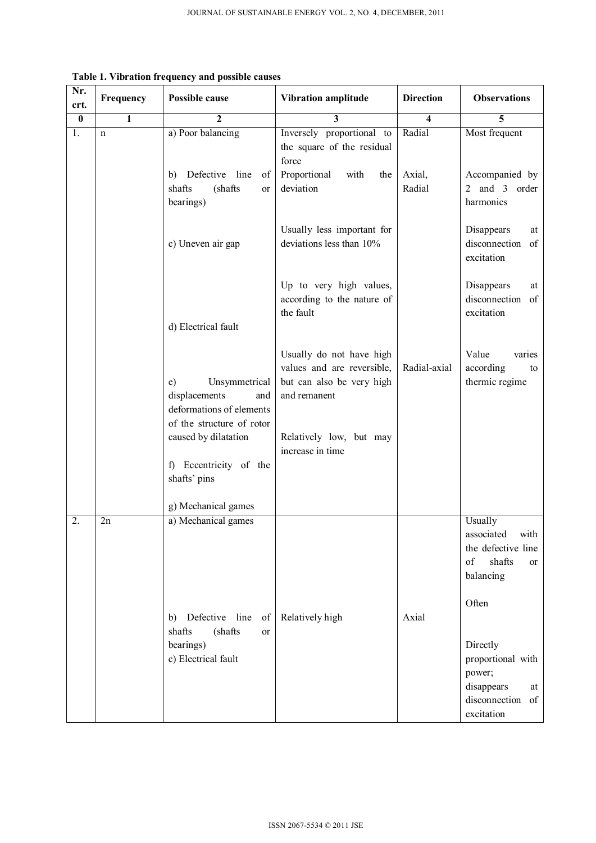| $\overline{\mathbf{3}}$<br>$\bf{0}$<br>$\mathbf{1}$<br>$\overline{2}$<br>5<br>$\boldsymbol{4}$<br>Radial<br>1.<br>a) Poor balancing<br>Inversely proportional to<br>$\mathbf n$<br>the square of the residual<br>force<br>Defective line<br>Proportional<br>with<br>Axial,<br>of<br>the<br>b)<br>shafts<br>(shafts)<br>deviation<br>Radial<br><sub>or</sub><br>bearings)<br>Usually less important for<br>deviations less than 10%<br>c) Uneven air gap<br>excitation<br>Up to very high values,<br>according to the nature of<br>the fault<br>excitation<br>d) Electrical fault<br>Usually do not have high<br>Value<br>values and are reversible,<br>Radial-axial<br>according<br>Unsymmetrical<br>but can also be very high<br>e)<br>displacements<br>and remanent<br>and<br>deformations of elements<br>of the structure of rotor<br>caused by dilatation<br>Relatively low, but may<br>increase in time<br>f) Eccentricity of the<br>shafts' pins<br>g) Mechanical games<br>a) Mechanical games<br>2.<br>2n<br>Usually<br>of<br>balancing<br>Often<br>Defective line<br>Relatively high<br>Axial<br>of<br>b)<br>(shafts<br>shafts<br>or | Nr.<br>crt. | Frequency | Possible cause | <b>Vibration amplitude</b> | <b>Direction</b> | <b>Observations</b>                                                      |  |
|----------------------------------------------------------------------------------------------------------------------------------------------------------------------------------------------------------------------------------------------------------------------------------------------------------------------------------------------------------------------------------------------------------------------------------------------------------------------------------------------------------------------------------------------------------------------------------------------------------------------------------------------------------------------------------------------------------------------------------------------------------------------------------------------------------------------------------------------------------------------------------------------------------------------------------------------------------------------------------------------------------------------------------------------------------------------------------------------------------------------------------------------|-------------|-----------|----------------|----------------------------|------------------|--------------------------------------------------------------------------|--|
|                                                                                                                                                                                                                                                                                                                                                                                                                                                                                                                                                                                                                                                                                                                                                                                                                                                                                                                                                                                                                                                                                                                                              |             |           |                |                            |                  |                                                                          |  |
|                                                                                                                                                                                                                                                                                                                                                                                                                                                                                                                                                                                                                                                                                                                                                                                                                                                                                                                                                                                                                                                                                                                                              |             |           |                |                            |                  | Most frequent                                                            |  |
|                                                                                                                                                                                                                                                                                                                                                                                                                                                                                                                                                                                                                                                                                                                                                                                                                                                                                                                                                                                                                                                                                                                                              |             |           |                |                            |                  | Accompanied by<br>2 and 3 order<br>harmonics                             |  |
|                                                                                                                                                                                                                                                                                                                                                                                                                                                                                                                                                                                                                                                                                                                                                                                                                                                                                                                                                                                                                                                                                                                                              |             |           |                |                            |                  | Disappears<br>at<br>disconnection<br>of                                  |  |
|                                                                                                                                                                                                                                                                                                                                                                                                                                                                                                                                                                                                                                                                                                                                                                                                                                                                                                                                                                                                                                                                                                                                              |             |           |                |                            |                  | Disappears<br>at<br>disconnection<br>of                                  |  |
|                                                                                                                                                                                                                                                                                                                                                                                                                                                                                                                                                                                                                                                                                                                                                                                                                                                                                                                                                                                                                                                                                                                                              |             |           |                |                            |                  | varies<br>to<br>thermic regime                                           |  |
|                                                                                                                                                                                                                                                                                                                                                                                                                                                                                                                                                                                                                                                                                                                                                                                                                                                                                                                                                                                                                                                                                                                                              |             |           |                |                            |                  | associated<br>with<br>the defective line<br>shafts<br><sub>or</sub>      |  |
| c) Electrical fault<br>power;                                                                                                                                                                                                                                                                                                                                                                                                                                                                                                                                                                                                                                                                                                                                                                                                                                                                                                                                                                                                                                                                                                                |             |           | bearings)      |                            |                  | Directly<br>proportional with<br>disappears<br>at<br>disconnection<br>of |  |

**Table 1. Vibration frequency and possible causes**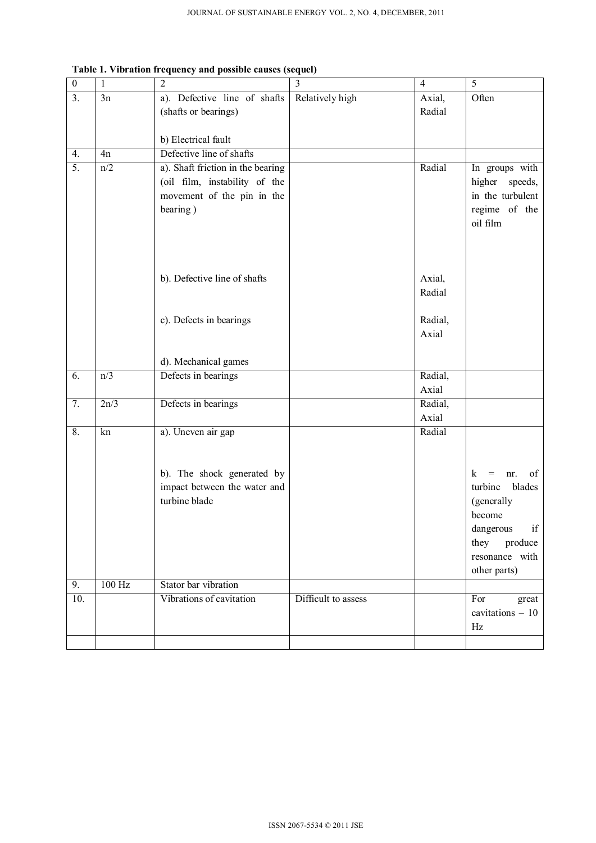| $\boldsymbol{0}$ | $\mathbf{1}$ | $\overline{2}$                    | $\overline{3}$      | $\overline{4}$   | $\overline{5}$                 |
|------------------|--------------|-----------------------------------|---------------------|------------------|--------------------------------|
| 3.               | 3n           | a). Defective line of shafts      | Relatively high     | Axial,           | Often                          |
|                  |              | (shafts or bearings)              |                     | Radial           |                                |
|                  |              |                                   |                     |                  |                                |
|                  |              | b) Electrical fault               |                     |                  |                                |
| 4.               | 4n           | Defective line of shafts          |                     |                  |                                |
| 5.               | n/2          | a). Shaft friction in the bearing |                     | Radial           | In groups with                 |
|                  |              | (oil film, instability of the     |                     |                  | higher speeds,                 |
|                  |              | movement of the pin in the        |                     |                  | in the turbulent               |
|                  |              | bearing)                          |                     |                  | regime of the                  |
|                  |              |                                   |                     |                  | oil film                       |
|                  |              |                                   |                     |                  |                                |
|                  |              |                                   |                     |                  |                                |
|                  |              |                                   |                     |                  |                                |
|                  |              | b). Defective line of shafts      |                     | Axial,<br>Radial |                                |
|                  |              |                                   |                     |                  |                                |
|                  |              | c). Defects in bearings           |                     | Radial,          |                                |
|                  |              |                                   |                     | Axial            |                                |
|                  |              |                                   |                     |                  |                                |
|                  |              | d). Mechanical games              |                     |                  |                                |
| 6.               | n/3          | Defects in bearings               |                     | Radial,          |                                |
|                  |              |                                   |                     | Axial            |                                |
| 7.               | 2n/3         | Defects in bearings               |                     | Radial,          |                                |
|                  |              |                                   |                     | Axial            |                                |
| 8.               | kn           | a). Uneven air gap                |                     | Radial           |                                |
|                  |              |                                   |                     |                  |                                |
|                  |              |                                   |                     |                  |                                |
|                  |              | b). The shock generated by        |                     |                  | of<br>k.<br>$=$<br>nr.         |
|                  |              | impact between the water and      |                     |                  | turbine<br>blades              |
|                  |              | turbine blade                     |                     |                  | (generally                     |
|                  |              |                                   |                     |                  | become                         |
|                  |              |                                   |                     |                  | dangerous<br>if                |
|                  |              |                                   |                     |                  | they<br>produce                |
|                  |              |                                   |                     |                  | resonance with<br>other parts) |
| 9.               | $100$ Hz     | Stator bar vibration              |                     |                  |                                |
| 10.              |              | Vibrations of cavitation          | Difficult to assess |                  | For                            |
|                  |              |                                   |                     |                  | great<br>cavitations $-10$     |
|                  |              |                                   |                     |                  | Hz                             |
|                  |              |                                   |                     |                  |                                |
|                  |              |                                   |                     |                  |                                |

**Table 1. Vibration frequency and possible causes (sequel)**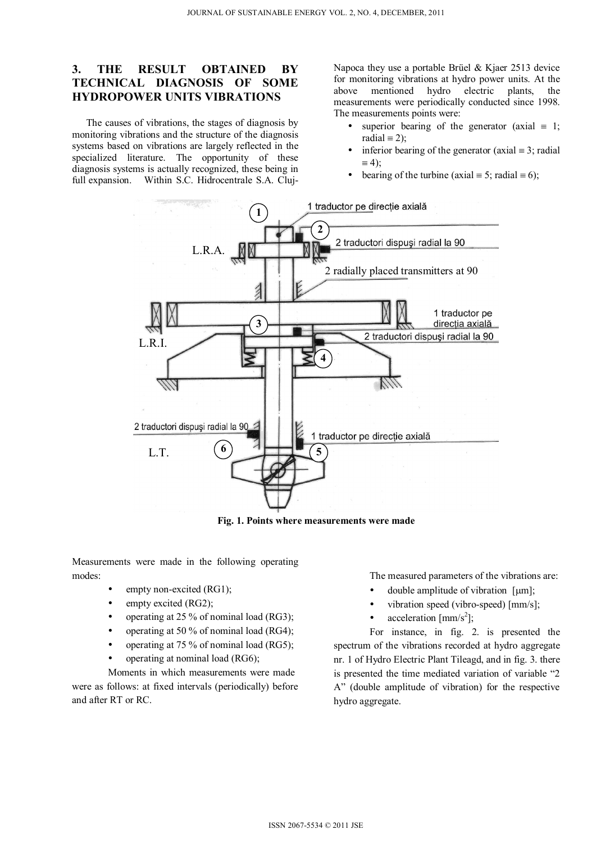# **3. THE RESULT OBTAINED BY TECHNICAL DIAGNOSIS OF SOME HYDROPOWER UNITS VIBRATIONS**

The causes of vibrations, the stages of diagnosis by monitoring vibrations and the structure of the diagnosis systems based on vibrations are largely reflected in the specialized literature. The opportunity of these diagnosis systems is actually recognized, these being in full expansion. Within S.C. Hidrocentrale S.A. ClujNapoca they use a portable Brüel & Kjaer 2513 device for monitoring vibrations at hydro power units. At the above mentioned hydro electric plants, the measurements were periodically conducted since 1998. The measurements points were:

- superior bearing of the generator (axial  $\equiv 1$ ; radial  $\equiv$  2);
- inferior bearing of the generator (axial  $\equiv 3$ ; radial  $\equiv 4$ );
- bearing of the turbine (axial  $\equiv$  5; radial  $\equiv$  6);



**Fig. 1. Points where measurements were made** 

Measurements were made in the following operating modes:

- empty non-excited (RG1);
- $\bullet$  empty excited (RG2);
- operating at 25 % of nominal load (RG3);
- operating at 50 % of nominal load (RG4);
- operating at 75 % of nominal load (RG5);
- operating at nominal load (RG6);

 Moments in which measurements were made were as follows: at fixed intervals (periodically) before and after RT or RC.

The measured parameters of the vibrations are:

- double amplitude of vibration  $\lceil \mu m \rceil$ ;
- vibration speed (vibro-speed) [mm/s];
- acceleration  $\text{[mm/s}^2$ ];

 For instance, in fig. 2. is presented the spectrum of the vibrations recorded at hydro aggregate nr. 1 of Hydro Electric Plant Tileagd, and in fig. 3. there is presented the time mediated variation of variable "2 A" (double amplitude of vibration) for the respective hydro aggregate.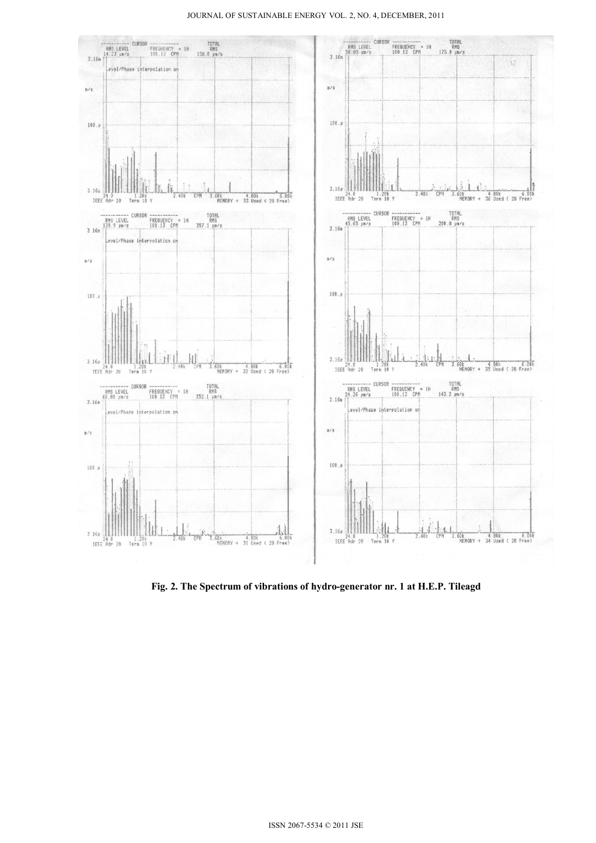#### JOURNAL OF SUSTAINABLE ENERGY VOL. 2, NO. 4, DECEMBER, 2011



**Fig. 2. The Spectrum of vibrations of hydro-generator nr. 1 at H.E.P. Tileagd**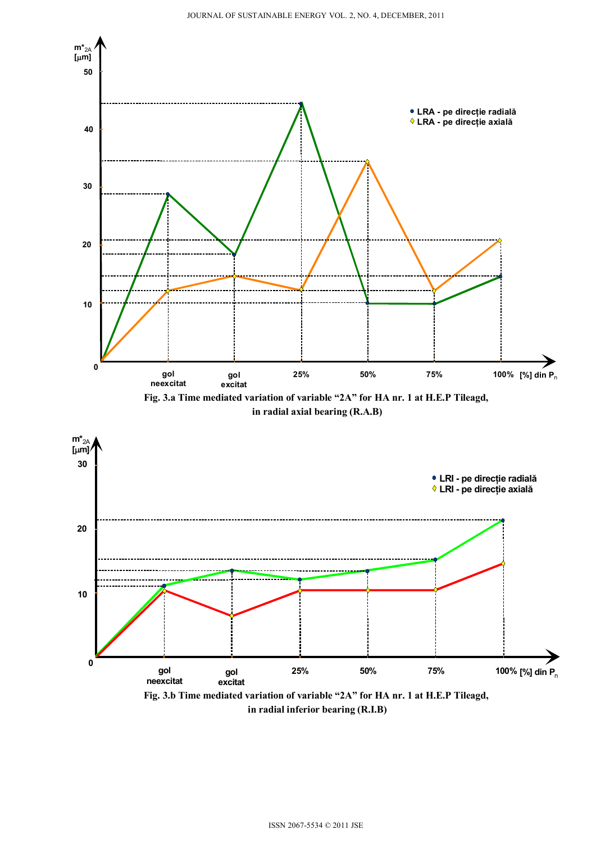

 **in radial inferior bearing (R.I.B)**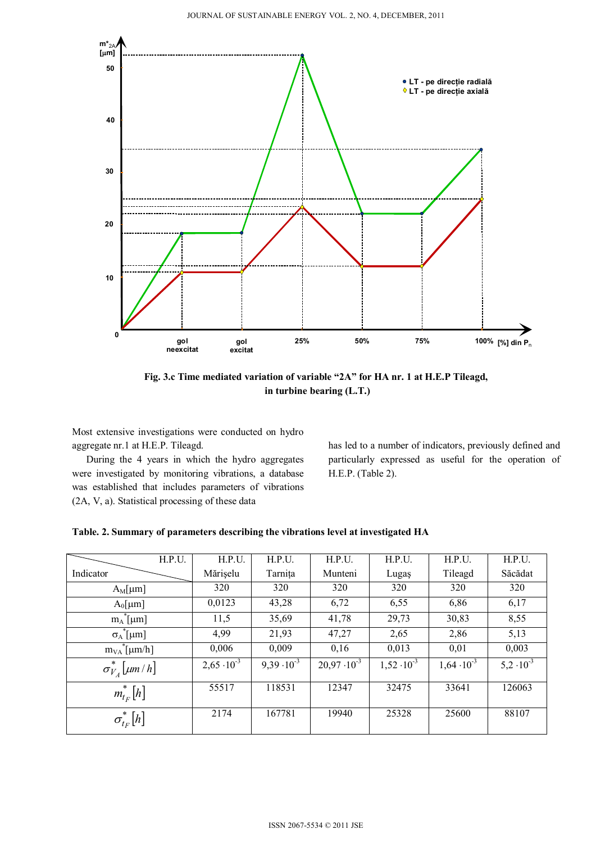

**Fig. 3.c Time mediated variation of variable "2A" for HA nr. 1 at H.E.P Tileagd, in turbine bearing (L.T.)** 

Most extensive investigations were conducted on hydro aggregate nr.1 at H.E.P. Tileagd.

During the 4 years in which the hydro aggregates were investigated by monitoring vibrations, a database was established that includes parameters of vibrations (2A, V, a). Statistical processing of these data

has led to a number of indicators, previously defined and particularly expressed as useful for the operation of H.E.P. (Table 2).

### **Table. 2. Summary of parameters describing the vibrations level at investigated HA**

| H.P.U.                    | H.P.U.               | H.P.U.               | H.P.U.                | H.P.U.               | H.P.U.               | H.P.U.              |
|---------------------------|----------------------|----------------------|-----------------------|----------------------|----------------------|---------------------|
| Indicator                 | Mărișelu             | Tarnița              | Munteni               | Lugaș                | Tileagd              | Săcădat             |
| $A_M$ [µm]                | 320                  | 320                  | 320                   | 320                  | 320                  | 320                 |
| $A_0$ [µm]                | 0,0123               | 43,28                | 6,72                  | 6,55                 | 6,86                 | 6,17                |
| $m_A^{\text{*}}[\mu m]$   | 11,5                 | 35,69                | 41,78                 | 29,73                | 30,83                | 8,55                |
| $\sigma_A^*$ [µm]         | 4,99                 | 21,93                | 47,27                 | 2,65                 | 2,86                 | 5,13                |
| $m_{VA}$ [µm/h]           | 0,006                | 0,009                | 0,16                  | 0,013                | 0,01                 | 0,003               |
| $\sigma_{V_A}^*$ [µm / h] | $2,65 \cdot 10^{-3}$ | $9,39 \cdot 10^{-3}$ | $20,97 \cdot 10^{-3}$ | $1,52 \cdot 10^{-3}$ | $1,64 \cdot 10^{-3}$ | $5,2 \cdot 10^{-3}$ |
| $m_{t_F}^*[h]$            | 55517                | 118531               | 12347                 | 32475                | 33641                | 126063              |
| $\sigma_{t_F}^*[h]$       | 2174                 | 167781               | 19940                 | 25328                | 25600                | 88107               |